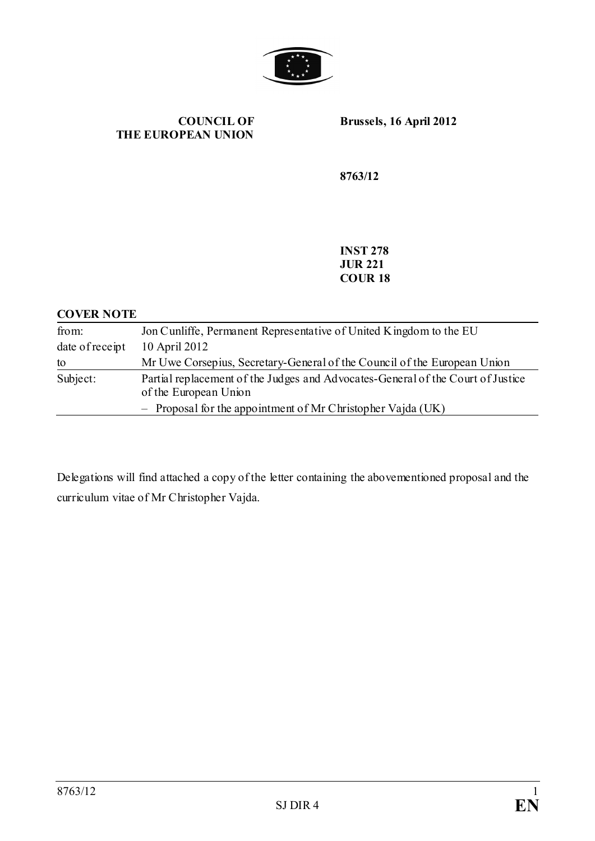

**COUNCIL OF THE EUROPEAN UNION**

**Brussels, 16 April 2012**

**8763/12**

**INST 278 JUR 221 COUR 18**

### **COVER NOTE**

| from:           | Jon Cunliffe, Permanent Representative of United Kingdom to the EU                                       |
|-----------------|----------------------------------------------------------------------------------------------------------|
| date of receipt | 10 April 2012                                                                                            |
| to              | Mr Uwe Corsepius, Secretary-General of the Council of the European Union                                 |
| Subject:        | Partial replacement of the Judges and Advocates-General of the Court of Justice<br>of the European Union |
|                 | - Proposal for the appointment of Mr Christopher Vajda $(UK)$                                            |

Delegations will find attached a copy of the letter containing the abovementioned proposal and the curriculum vitae of Mr Christopher Vajda.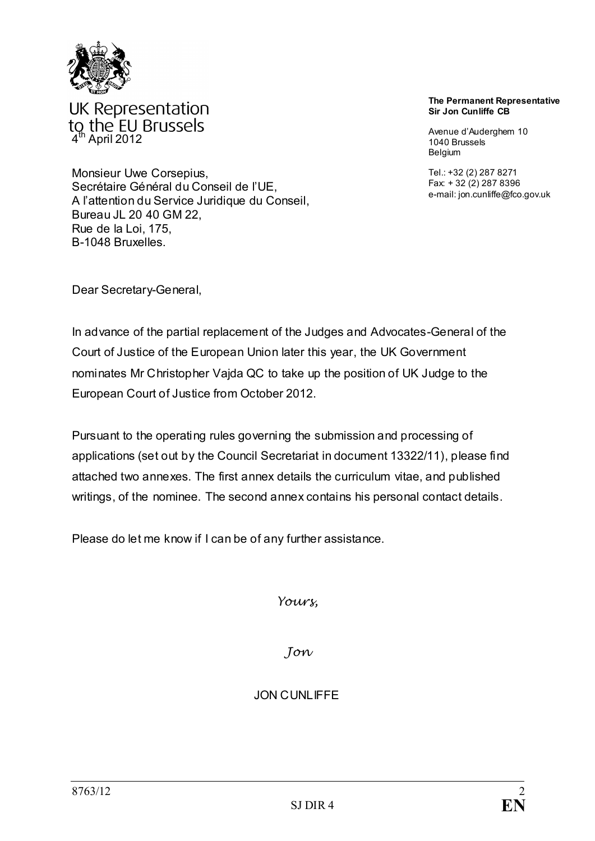

UK Representation to the EU Brussels<br><sup>4th</sup> April 2012

Monsieur Uwe Corsepius, Secrétaire Général du Conseil de l'UE, A l'attention du Service Juridique du Conseil, Bureau JL 20 40 GM 22, Rue de la Loi, 175, B-1048 Bruxelles.

#### **The Permanent Representative Sir Jon Cunliffe CB**

Avenue d'Auderghem 10 1040 Brussels Belgium

Tel.: +32 (2) 287 8271 Fax: + 32 (2) 287 8396 e-mail: jon.cunliffe@fco.gov.uk

Dear Secretary-General,

In advance of the partial replacement of the Judges and Advocates-General of the Court of Justice of the European Union later this year, the UK Government nominates Mr Christopher Vajda QC to take up the position of UK Judge to the European Court of Justice from October 2012.

Pursuant to the operating rules governing the submission and processing of applications (set out by the Council Secretariat in document 13322/11), please find attached two annexes. The first annex details the curriculum vitae, and published writings, of the nominee. The second annex contains his personal contact details.

Please do let me know if I can be of any further assistance.

*Yours,*

*Jon*

JON CUNLIFFE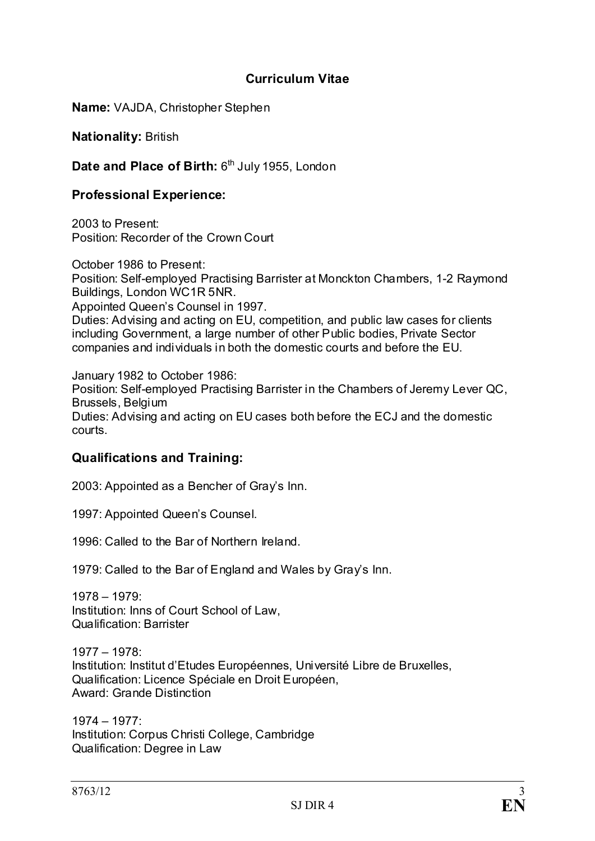## **Curriculum Vitae**

**Name:** VAJDA, Christopher Stephen

**Nationality:** British

Date and Place of Birth: 6<sup>th</sup> July 1955, London

## **Professional Experience:**

2003 to Present: Position: Recorder of the Crown Court

October 1986 to Present: Position: Self-employed Practising Barrister at Monckton Chambers, 1-2 Raymond Buildings, London WC1R 5NR. Appointed Queen's Counsel in 1997. Duties: Advising and acting on EU, competition, and public law cases for clients including Government, a large number of other Public bodies, Private Sector companies and individuals in both the domestic courts and before the EU.

January 1982 to October 1986: Position: Self-employed Practising Barrister in the Chambers of Jeremy Lever QC, Brussels, Belgium Duties: Advising and acting on EU cases both before the ECJ and the domestic courts.

#### **Qualifications and Training:**

2003: Appointed as a Bencher of Gray's Inn.

1997: Appointed Queen's Counsel.

1996: Called to the Bar of Northern Ireland.

1979: Called to the Bar of England and Wales by Gray's Inn.

1978 – 1979: Institution: Inns of Court School of Law, Qualification: Barrister

1977 – 1978: Institution: Institut d'Etudes Européennes, Université Libre de Bruxelles, Qualification: Licence Spéciale en Droit Européen, Award: Grande Distinction

1974 – 1977: Institution: Corpus Christi College, Cambridge Qualification: Degree in Law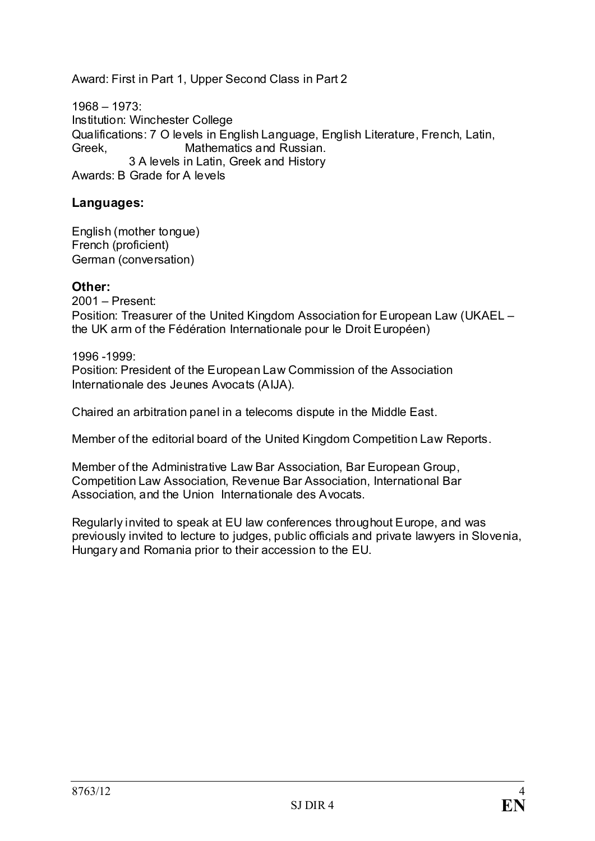Award: First in Part 1, Upper Second Class in Part 2

1968 – 1973: Institution: Winchester College Qualifications: 7 O levels in English Language, English Literature, French, Latin,<br>Greek. Mathematics and Russian. Mathematics and Russian. 3 A levels in Latin, Greek and History Awards: B Grade for A levels

## **Languages:**

English (mother tongue) French (proficient) German (conversation)

#### **Other:**

2001 – Present: Position: Treasurer of the United Kingdom Association for European Law (UKAEL – the UK arm of the Fédération Internationale pour le Droit Européen)

1996 -1999: Position: President of the European Law Commission of the Association Internationale des Jeunes Avocats (AIJA).

Chaired an arbitration panel in a telecoms dispute in the Middle East.

Member of the editorial board of the United Kingdom Competition Law Reports.

Member of the Administrative Law Bar Association, Bar European Group, Competition Law Association, Revenue Bar Association, International Bar Association, and the Union Internationale des Avocats.

Regularly invited to speak at EU law conferences throughout Europe, and was previously invited to lecture to judges, public officials and private lawyers in Slovenia, Hungary and Romania prior to their accession to the EU.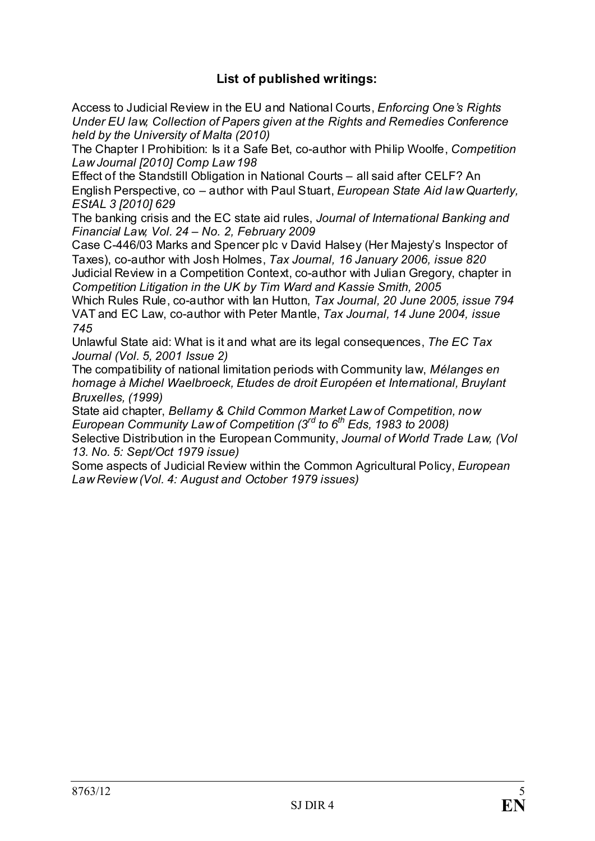# **List of published writings:**

Access to Judicial Review in the EU and National Courts, *Enforcing One's Rights Under EU law, Collection of Papers given at the Rights and Remedies Conference held by the University of Malta (2010)*

The Chapter I Prohibition: Is it a Safe Bet, co-author with Philip Woolfe, *Competition Law Journal [2010] Comp Law 198*

Effect of the Standstill Obligation in National Courts – all said after CELF? An English Perspective, co – author with Paul Stuart, *European State Aid law Quarterly, EStAL 3 [2010] 629*

The banking crisis and the EC state aid rules, *Journal of International Banking and Financial Law, Vol. 24 – No. 2, February 2009*

Case C-446/03 Marks and Spencer plc v David Halsey (Her Majesty's Inspector of Taxes), co-author with Josh Holmes, *Tax Journal, 16 January 2006, issue 820* Judicial Review in a Competition Context, co-author with Julian Gregory, chapter in

*Competition Litigation in the UK by Tim Ward and Kassie Smith, 2005*

Which Rules Rule, co-author with Ian Hutton, *Tax Journal, 20 June 2005, issue 794* VAT and EC Law, co-author with Peter Mantle, *Tax Journal, 14 June 2004, issue 745* 

Unlawful State aid: What is it and what are its legal consequences, *The EC Tax Journal (Vol. 5, 2001 Issue 2)*

The compatibility of national limitation periods with Community law, *Mélanges en homage à Michel Waelbroeck, Etudes de droit Européen et International, Bruylant Bruxelles, (1999)*

State aid chapter, *Bellamy & Child Common Market Law of Competition, now European Community Law of Competition (3rd to 6th Eds, 1983 to 2008)*

Selective Distribution in the European Community, *Journal of World Trade Law, (Vol 13. No. 5: Sept/Oct 1979 issue)*

Some aspects of Judicial Review within the Common Agricultural Policy, *European Law Review (Vol. 4: August and October 1979 issues)*